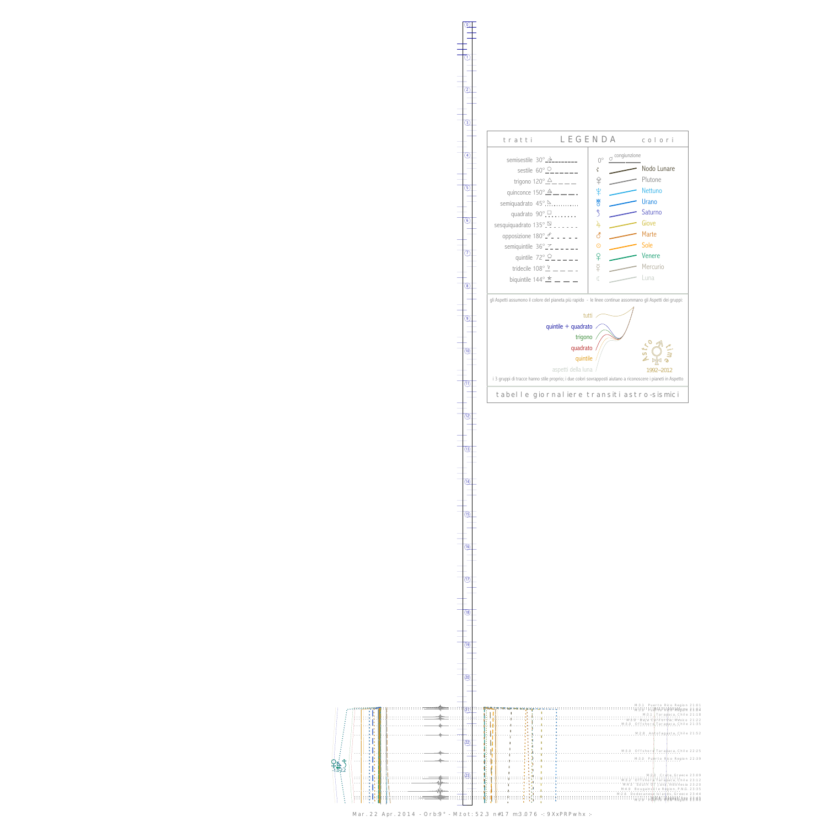Ç -1.0 2.2